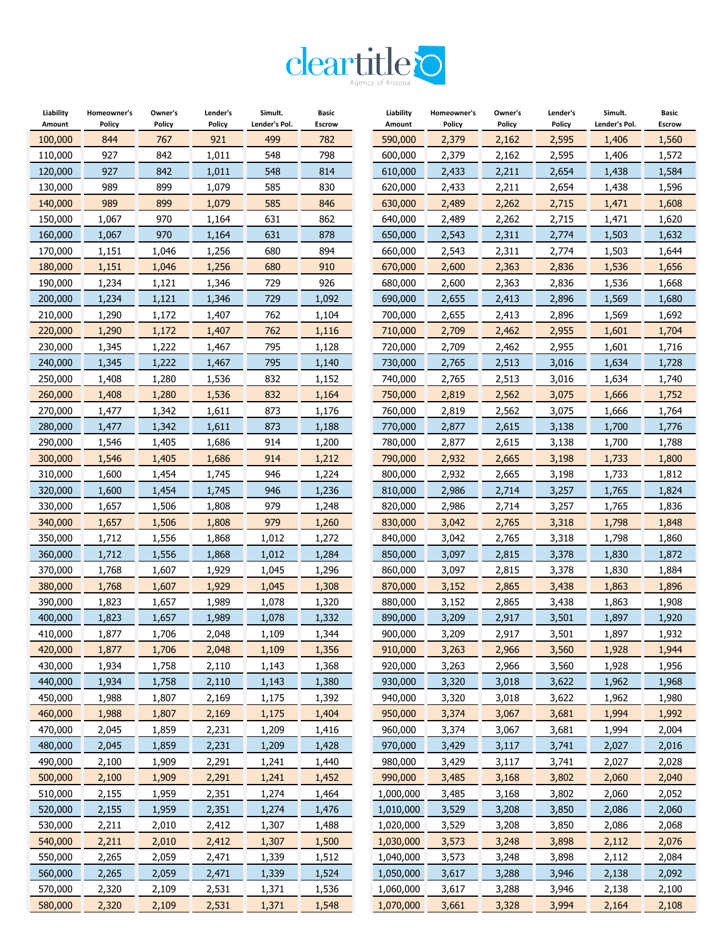

| Liability | Homeowner's | Owner's | Lender's | Simult.       | Basic         | Liability | Homeowner's | Owner's | Lender's | Simult.       | <b>Basic</b>  |
|-----------|-------------|---------|----------|---------------|---------------|-----------|-------------|---------|----------|---------------|---------------|
| Amount    | Policy      | Policy  | Policy   | Lender's Pol. | <b>Escrow</b> | Amount    | Policy      | Policy  | Policy   | Lender's Pol. | <b>Escrow</b> |
| 100,000   | 844         | 767     | 921      | 499           | 782           | 590,000   | 2,379       | 2,162   | 2,595    | 1,406         | 1,560         |
| 110,000   | 927         | 842     | 1,011    | 548           | 798           | 600,000   | 2,379       | 2,162   | 2,595    | 1,406         | 1,572         |
| 120,000   | 927         | 842     | 1,011    | 548           | 814           | 610,000   | 2,433       | 2,211   | 2,654    | 1,438         | 1,584         |
| 130,000   | 989         | 899     | 1,079    | 585           | 830           | 620,000   | 2,433       | 2,211   | 2,654    | 1,438         | 1,596         |
| 140,000   | 989         | 899     | 1,079    | 585           | 846           | 630,000   | 2,489       | 2,262   | 2,715    | 1,471         | 1,608         |
| 150,000   | 1,067       | 970     | 1,164    | 631           | 862           | 640,000   | 2,489       | 2,262   | 2,715    | 1,471         | 1,620         |
| 160,000   | 1,067       | 970     | 1,164    | 631           | 878           | 650,000   | 2,543       | 2,311   | 2,774    | 1,503         | 1,632         |
| 170,000   | 1,151       | 1,046   | 1,256    | 680           | 894           | 660,000   | 2,543       | 2,311   | 2,774    | 1,503         | 1,644         |
| 180,000   | 1,151       | 1,046   | 1,256    | 680           | 910           | 670,000   | 2,600       | 2,363   | 2,836    | 1,536         | 1,656         |
| 190,000   | 1,234       | 1,121   | 1,346    | 729           | 926           | 680,000   | 2,600       | 2,363   | 2,836    | 1,536         | 1,668         |
| 200,000   | 1,234       | 1,121   | 1,346    | 729           | 1,092         | 690,000   | 2,655       | 2,413   | 2,896    | 1,569         | 1,680         |
| 210,000   | 1,290       | 1,172   | 1,407    | 762           | 1,104         | 700,000   | 2,655       | 2,413   | 2,896    | 1,569         | 1,692         |
| 220,000   | 1,290       | 1,172   | 1,407    | 762           | 1,116         | 710,000   | 2,709       | 2,462   | 2,955    | 1,601         | 1,704         |
| 230,000   | 1,345       | 1,222   | 1,467    | 795           | 1,128         | 720,000   | 2,709       | 2,462   | 2,955    | 1,601         | 1,716         |
| 240,000   | 1,345       | 1,222   | 1,467    | 795           | 1,140         | 730,000   | 2,765       | 2,513   | 3,016    | 1,634         | 1,728         |
| 250,000   | 1,408       | 1,280   | 1,536    | 832           | 1,152         | 740,000   | 2,765       | 2,513   | 3,016    | 1,634         | 1,740         |
| 260,000   | 1,408       | 1,280   | 1,536    | 832           | 1,164         | 750,000   | 2,819       | 2,562   | 3,075    | 1,666         | 1,752         |
| 270,000   | 1,477       | 1,342   | 1,611    | 873           | 1,176         | 760,000   | 2,819       | 2,562   | 3,075    | 1,666         | 1,764         |
| 280,000   | 1,477       | 1,342   | 1,611    | 873           | 1,188         | 770,000   | 2,877       | 2,615   | 3,138    | 1,700         | 1,776         |
| 290,000   | 1,546       | 1,405   | 1,686    | 914           | 1,200         | 780,000   | 2,877       | 2,615   | 3,138    | 1,700         | 1,788         |
| 300,000   | 1,546       | 1,405   | 1,686    | 914           | 1,212         | 790,000   | 2,932       | 2,665   | 3,198    | 1,733         | 1,800         |
| 310,000   | 1,600       | 1,454   | 1,745    | 946           | 1,224         | 800,000   | 2,932       | 2,665   | 3,198    | 1,733         | 1,812         |
| 320,000   | 1,600       | 1,454   | 1,745    | 946           | 1,236         | 810,000   | 2,986       | 2,714   | 3,257    | 1,765         | 1,824         |
| 330,000   | 1,657       | 1,506   | 1,808    | 979           | 1,248         | 820,000   | 2,986       | 2,714   | 3,257    | 1,765         | 1,836         |
|           |             |         |          | 979           |               |           |             |         |          |               |               |
| 340,000   | 1,657       | 1,506   | 1,808    |               | 1,260         | 830,000   | 3,042       | 2,765   | 3,318    | 1,798         | 1,848         |
| 350,000   | 1,712       | 1,556   | 1,868    | 1,012         | 1,272         | 840,000   | 3,042       | 2,765   | 3,318    | 1,798         | 1,860         |
| 360,000   | 1,712       | 1,556   | 1,868    | 1,012         | 1,284         | 850,000   | 3,097       | 2,815   | 3,378    | 1,830         | 1,872         |
| 370,000   | 1,768       | 1,607   | 1,929    | 1,045         | 1,296         | 860,000   | 3,097       | 2,815   | 3,378    | 1,830         | 1,884         |
| 380,000   | 1,768       | 1,607   | 1,929    | 1,045         | 1,308         | 870,000   | 3,152       | 2,865   | 3,438    | 1,863         | 1,896         |
| 390,000   | 1,823       | 1,657   | 1,989    | 1,078         | 1,320         | 880,000   | 3,152       | 2,865   | 3,438    | 1,863         | 1,908         |
| 400,000   | 1,823       | 1,657   | 1,989    | 1,078         | 1,332         | 890,000   | 3,209       | 2,917   | 3,501    | 1,897         | 1,920         |
| 410,000   | 1,877       | 1,706   | 2,048    | 1,109         | 1,344         | 900,000   | 3,209       | 2,917   | 3,501    | 1,897         | 1,932         |
| 420,000   | 1,877       | 1,706   | 2,048    | 1,109         | 1,356         | 910,000   | 3,263       | 2,966   | 3,560    | 1,928         | 1,944         |
| 430,000   | 1,934       | 1,758   | 2,110    | 1,143         | 1,368         | 920,000   | 3,263       | 2,966   | 3,560    | 1,928         | 1,956         |
| 440,000   | 1,934       | 1,758   | 2,110    | 1,143         | 1,380         | 930,000   | 3,320       | 3,018   | 3,622    | 1,962         | 1,968         |
| 450,000   | 1,988       | 1,807   | 2,169    | 1,175         | 1,392         | 940,000   | 3,320       | 3,018   | 3,622    | 1,962         | 1,980         |
| 460,000   | 1,988       | 1,807   | 2,169    | 1,175         | 1,404         | 950,000   | 3,374       | 3,067   | 3,681    | 1,994         | 1,992         |
| 470,000   | 2,045       | 1,859   | 2,231    | 1,209         | 1,416         | 960,000   | 3,374       | 3,067   | 3,681    | 1,994         | 2,004         |
| 480,000   | 2,045       | 1,859   | 2,231    | 1,209         | 1,428         | 970,000   | 3,429       | 3,117   | 3,741    | 2,027         | 2,016         |
| 490,000   | 2,100       | 1,909   | 2,291    | 1,241         | 1,440         | 980,000   | 3,429       | 3,117   | 3,741    | 2,027         | 2,028         |
| 500,000   | 2,100       | 1,909   | 2,291    | 1,241         | 1,452         | 990,000   | 3,485       | 3,168   | 3,802    | 2,060         | 2,040         |
| 510,000   | 2,155       | 1,959   | 2,351    | 1,274         | 1,464         | 1,000,000 | 3,485       | 3,168   | 3,802    | 2,060         | 2,052         |
| 520,000   | 2,155       | 1,959   | 2,351    | 1,274         | 1,476         | 1,010,000 | 3,529       | 3,208   | 3,850    | 2,086         | 2,060         |
| 530,000   | 2,211       | 2,010   | 2,412    | 1,307         | 1,488         | 1,020,000 | 3,529       | 3,208   | 3,850    | 2,086         | 2,068         |
| 540,000   | 2,211       | 2,010   | 2,412    | 1,307         | 1,500         | 1,030,000 | 3,573       | 3,248   | 3,898    | 2,112         | 2,076         |
| 550,000   | 2,265       | 2,059   | 2,471    | 1,339         | 1,512         | 1,040,000 | 3,573       | 3,248   | 3,898    | 2,112         | 2,084         |
| 560,000   | 2,265       | 2,059   | 2,471    | 1,339         | 1,524         | 1,050,000 | 3,617       | 3,288   | 3,946    | 2,138         | 2,092         |
| 570,000   | 2,320       | 2,109   | 2,531    | 1,371         | 1,536         | 1,060,000 | 3,617       | 3,288   | 3,946    | 2,138         | 2,100         |
| 580,000   | 2,320       | 2,109   | 2,531    | 1,371         | 1,548         | 1,070,000 | 3,661       | 3,328   | 3,994    | 2,164         | 2,108         |